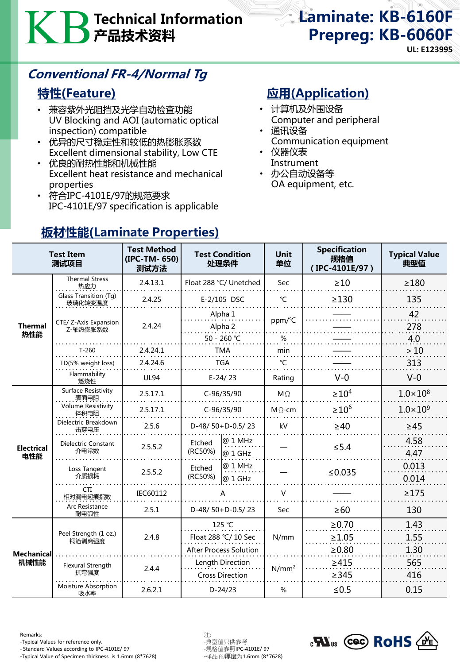# Technical Information 产品技术资料

# Laminate: KB-6160F Prepreg: KB-6060F

**UL: E123995**

## Conventional FR-4/Normal Tg

## 特性(Feature)

- 兼容紫外光阻挡及光学自动检查功能 UV Blocking and AOI (automatic optical inspection) compatible
- 优异的尺寸稳定性和较低的热膨胀系数 Excellent dimensional stability, Low CTE
- 优良的耐热性能和机械性能 Excellent heat resistance and mechanical properties
- 符合IPC-4101E/97的规范要求 IPC-4101E/97 specification is applicable

## 应用(Application)

- 计算机及外围设备 Computer and peripheral
- 通讯设备 Communication equipment
- 仪器仪表 Instrument
- 办公自动设备等 OA equipment, etc.

| <b>Test Item</b><br>测试项目  |                                    | <b>Test Method</b><br>(IPC-TM-650)<br>测试方法 | <b>Test Condition</b><br>处理条件           | <b>Unit</b><br>单位 | <b>Specification</b><br>规格值<br>(IPC-4101E/97) | <b>Typical Value</b><br>典型值 |
|---------------------------|------------------------------------|--------------------------------------------|-----------------------------------------|-------------------|-----------------------------------------------|-----------------------------|
| <b>Thermal</b><br>热性能     | <b>Thermal Stress</b><br>热应力       | 2.4.13.1                                   | Float 288 °C/ Unetched                  | Sec               | $\geq 10$                                     | $\geq$ 180                  |
|                           | Glass Transition (Tg)<br>玻璃化转变温度   | 2.4.25                                     | E-2/105 DSC                             | $\mathrm{C}$      | $\geq$ 130                                    | 135                         |
|                           |                                    | 2.4.24                                     | Alpha 1                                 |                   |                                               | 42                          |
|                           | CTE/ Z-Axis Expansion<br>Z-轴热膨胀系数  |                                            | Alpha 2                                 | ppm/°C            |                                               | 278                         |
|                           |                                    |                                            | 50 - 260 °C                             | %                 |                                               | 4.0                         |
|                           | $T-260$                            | 2.4.24.1                                   | <b>TMA</b>                              | min               |                                               | >10                         |
|                           | TD(5% weight loss)                 | 2.4.24.6                                   | <b>TGA</b>                              | °C                |                                               | 313                         |
|                           | Flammability<br>燃烧性                | <b>UL94</b>                                | $E-24/23$                               | Rating            | $V-0$                                         | $V - 0$                     |
| <b>Electrical</b><br>电性能  | Surface Resistivity<br>表面电阻        | 2.5.17.1                                   | C-96/35/90                              | $M\Omega$         | $\geq 10^4$                                   | $1.0 \times 10^{8}$         |
|                           | Volume Resistivity<br>体积电阻         | 2.5.17.1                                   | C-96/35/90                              | $M\Omega$ -cm     | $\geq 10^6$                                   | $1.0 \times 10^{9}$         |
|                           | Dielectric Breakdown<br>击穿电压       | 2.5.6                                      | D-48/50+D-0.5/23                        | kV                | $\geq 40$                                     | $\geq 45$                   |
|                           | <b>Dielectric Constant</b><br>介电常数 | 2.5.5.2                                    | @ 1 MHz<br>Etched<br>(RC50%)<br>@ 1 GHz |                   | $\leq$ 5.4                                    | 4.58<br>4.47                |
|                           | Loss Tangent<br>介质损耗               | 2.5.5.2                                    | @ 1 MHz<br>Etched<br>(RC50%)<br>@ 1 GHz |                   | ≤ $0.035$                                     | 0.013<br>0.014              |
|                           | CTI<br>相对漏电起痕指数                    | IEC60112                                   | A                                       | $\vee$            |                                               | $\geq$ 175                  |
|                           | Arc Resistance<br>耐电弧性             | 2.5.1                                      | D-48/50+D-0.5/23                        | Sec               | $\geq 60$                                     | 130                         |
| <b>Mechanical</b><br>机械性能 | Peel Strength (1 oz.)<br>铜箔剥离强度    | 2.4.8                                      | 125 °C                                  |                   | $\ge 0.70$                                    | 1.43                        |
|                           |                                    |                                            | Float 288 °C/ 10 Sec                    | N/mm              | $\geq 1.05$                                   | 1.55                        |
|                           |                                    |                                            | <b>After Process Solution</b>           |                   | $\geq 0.80$                                   | 1.30                        |
|                           | <b>Flexural Strength</b><br>抗弯强度   | 2.4.4                                      | Length Direction                        | $N/mm^2$          | >415                                          | 565                         |
|                           | Moisture Absorption<br>吸水率         | 2.6.2.1                                    | <b>Cross Direction</b><br>$D-24/23$     | $\%$              | >345<br>$≤ 0.5$                               | 416<br>0.15                 |

## 板材性能(Laminate Properties)

Remarks: 注:

- Standard Values according to IPC-4101E/ 97 -规格值参照IPC-4101E/ 97

-Typical Value of Specimen thickness is 1.6mm (8\*7628)

-Typical Values for reference only.<br>- Standard Values according to IPC-4101E/ 97 -规格值参照IPC-4101E/ 97